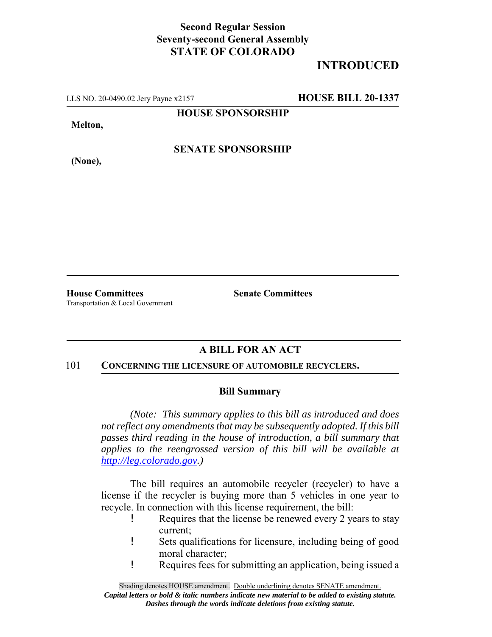### **Second Regular Session Seventy-second General Assembly STATE OF COLORADO**

# **INTRODUCED**

LLS NO. 20-0490.02 Jery Payne x2157 **HOUSE BILL 20-1337**

**HOUSE SPONSORSHIP**

**Melton,**

**(None),**

**SENATE SPONSORSHIP**

**House Committees Senate Committees** Transportation & Local Government

## **A BILL FOR AN ACT**

#### 101 **CONCERNING THE LICENSURE OF AUTOMOBILE RECYCLERS.**

#### **Bill Summary**

*(Note: This summary applies to this bill as introduced and does not reflect any amendments that may be subsequently adopted. If this bill passes third reading in the house of introduction, a bill summary that applies to the reengrossed version of this bill will be available at http://leg.colorado.gov.)*

The bill requires an automobile recycler (recycler) to have a license if the recycler is buying more than 5 vehicles in one year to recycle. In connection with this license requirement, the bill:

- ! Requires that the license be renewed every 2 years to stay current;
- ! Sets qualifications for licensure, including being of good moral character;
- ! Requires fees for submitting an application, being issued a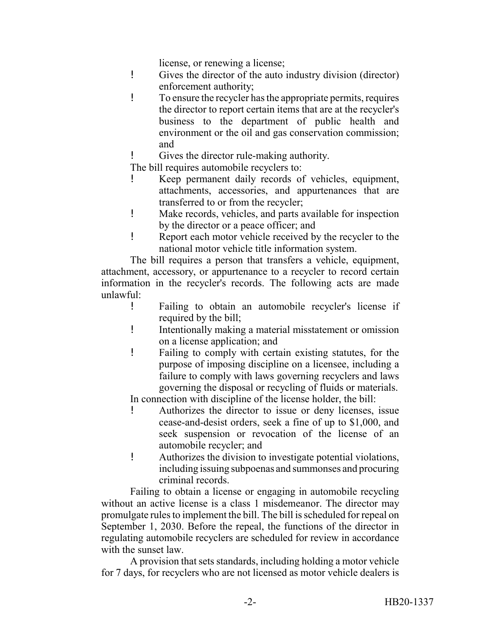license, or renewing a license;

- ! Gives the director of the auto industry division (director) enforcement authority;
- ! To ensure the recycler has the appropriate permits, requires the director to report certain items that are at the recycler's business to the department of public health and environment or the oil and gas conservation commission; and
	- Gives the director rule-making authority.

The bill requires automobile recyclers to:

- ! Keep permanent daily records of vehicles, equipment, attachments, accessories, and appurtenances that are transferred to or from the recycler;
- ! Make records, vehicles, and parts available for inspection by the director or a peace officer; and
- ! Report each motor vehicle received by the recycler to the national motor vehicle title information system.

The bill requires a person that transfers a vehicle, equipment, attachment, accessory, or appurtenance to a recycler to record certain information in the recycler's records. The following acts are made unlawful:

- ! Failing to obtain an automobile recycler's license if required by the bill;
- ! Intentionally making a material misstatement or omission on a license application; and
- ! Failing to comply with certain existing statutes, for the purpose of imposing discipline on a licensee, including a failure to comply with laws governing recyclers and laws governing the disposal or recycling of fluids or materials.

In connection with discipline of the license holder, the bill:

- ! Authorizes the director to issue or deny licenses, issue cease-and-desist orders, seek a fine of up to \$1,000, and seek suspension or revocation of the license of an automobile recycler; and
- ! Authorizes the division to investigate potential violations, including issuing subpoenas and summonses and procuring criminal records.

Failing to obtain a license or engaging in automobile recycling without an active license is a class 1 misdemeanor. The director may promulgate rules to implement the bill. The bill is scheduled for repeal on September 1, 2030. Before the repeal, the functions of the director in regulating automobile recyclers are scheduled for review in accordance with the sunset law.

A provision that sets standards, including holding a motor vehicle for 7 days, for recyclers who are not licensed as motor vehicle dealers is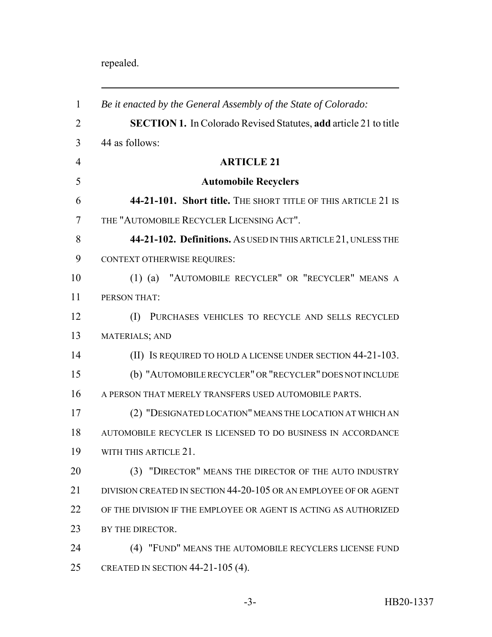# repealed.

| $\mathbf{1}$   | Be it enacted by the General Assembly of the State of Colorado:         |
|----------------|-------------------------------------------------------------------------|
| $\overline{2}$ | <b>SECTION 1.</b> In Colorado Revised Statutes, add article 21 to title |
| 3              | 44 as follows:                                                          |
| $\overline{4}$ | <b>ARTICLE 21</b>                                                       |
| 5              | <b>Automobile Recyclers</b>                                             |
| 6              | 44-21-101. Short title. THE SHORT TITLE OF THIS ARTICLE 21 IS           |
| 7              | THE "AUTOMOBILE RECYCLER LICENSING ACT".                                |
| 8              | 44-21-102. Definitions. As USED IN THIS ARTICLE 21, UNLESS THE          |
| 9              | <b>CONTEXT OTHERWISE REQUIRES:</b>                                      |
| 10             | "AUTOMOBILE RECYCLER" OR "RECYCLER" MEANS A<br>$(1)$ (a)                |
| 11             | PERSON THAT:                                                            |
| 12             | PURCHASES VEHICLES TO RECYCLE AND SELLS RECYCLED<br>(I)                 |
| 13             | <b>MATERIALS; AND</b>                                                   |
| 14             | (II) IS REQUIRED TO HOLD A LICENSE UNDER SECTION 44-21-103.             |
| 15             | (b) "AUTOMOBILE RECYCLER" OR "RECYCLER" DOES NOT INCLUDE                |
| 16             | A PERSON THAT MERELY TRANSFERS USED AUTOMOBILE PARTS.                   |
| 17             | (2) "DESIGNATED LOCATION" MEANS THE LOCATION AT WHICH AN                |
| 18             | AUTOMOBILE RECYCLER IS LICENSED TO DO BUSINESS IN ACCORDANCE            |
| 19             | WITH THIS ARTICLE 21.                                                   |
| 20             | (3) "DIRECTOR" MEANS THE DIRECTOR OF THE AUTO INDUSTRY                  |
| 21             | DIVISION CREATED IN SECTION 44-20-105 OR AN EMPLOYEE OF OR AGENT        |
| 22             | OF THE DIVISION IF THE EMPLOYEE OR AGENT IS ACTING AS AUTHORIZED        |
| 23             | BY THE DIRECTOR.                                                        |
| 24             | (4) "FUND" MEANS THE AUTOMOBILE RECYCLERS LICENSE FUND                  |
|                |                                                                         |

CREATED IN SECTION 44-21-105 (4).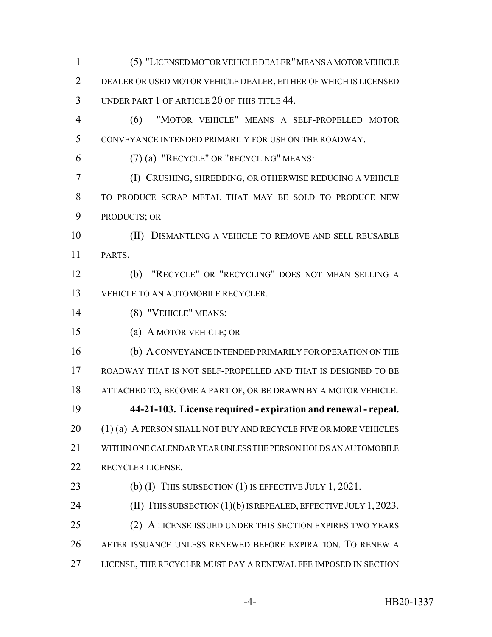(5) "LICENSED MOTOR VEHICLE DEALER" MEANS A MOTOR VEHICLE DEALER OR USED MOTOR VEHICLE DEALER, EITHER OF WHICH IS LICENSED UNDER PART 1 OF ARTICLE 20 OF THIS TITLE 44. (6) "MOTOR VEHICLE" MEANS A SELF-PROPELLED MOTOR CONVEYANCE INTENDED PRIMARILY FOR USE ON THE ROADWAY. (7) (a) "RECYCLE" OR "RECYCLING" MEANS: (I) CRUSHING, SHREDDING, OR OTHERWISE REDUCING A VEHICLE TO PRODUCE SCRAP METAL THAT MAY BE SOLD TO PRODUCE NEW PRODUCTS; OR (II) DISMANTLING A VEHICLE TO REMOVE AND SELL REUSABLE PARTS. (b) "RECYCLE" OR "RECYCLING" DOES NOT MEAN SELLING A VEHICLE TO AN AUTOMOBILE RECYCLER. (8) "VEHICLE" MEANS: (a) A MOTOR VEHICLE; OR (b) A CONVEYANCE INTENDED PRIMARILY FOR OPERATION ON THE ROADWAY THAT IS NOT SELF-PROPELLED AND THAT IS DESIGNED TO BE ATTACHED TO, BECOME A PART OF, OR BE DRAWN BY A MOTOR VEHICLE. **44-21-103. License required - expiration and renewal - repeal.** 20 (1) (a) A PERSON SHALL NOT BUY AND RECYCLE FIVE OR MORE VEHICLES WITHIN ONE CALENDAR YEAR UNLESS THE PERSON HOLDS AN AUTOMOBILE RECYCLER LICENSE. 23 (b) (I) THIS SUBSECTION (1) IS EFFECTIVE JULY 1, 2021. **(II) THIS SUBSECTION (1)(b) IS REPEALED, EFFECTIVE JULY 1, 2023.**  (2) A LICENSE ISSUED UNDER THIS SECTION EXPIRES TWO YEARS AFTER ISSUANCE UNLESS RENEWED BEFORE EXPIRATION. TO RENEW A LICENSE, THE RECYCLER MUST PAY A RENEWAL FEE IMPOSED IN SECTION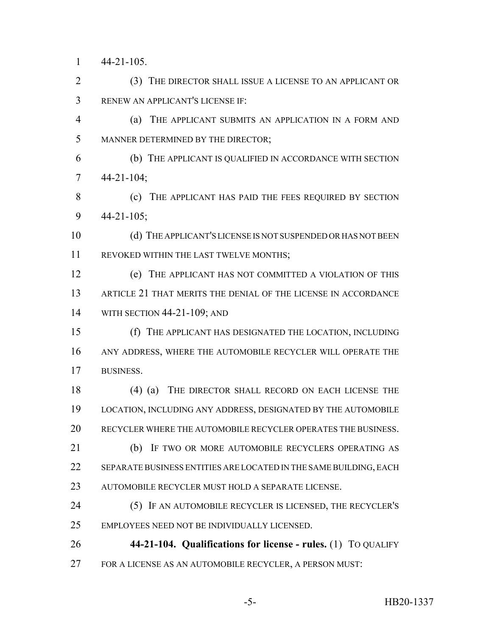44-21-105.

 (3) THE DIRECTOR SHALL ISSUE A LICENSE TO AN APPLICANT OR RENEW AN APPLICANT'S LICENSE IF:

 (a) THE APPLICANT SUBMITS AN APPLICATION IN A FORM AND MANNER DETERMINED BY THE DIRECTOR;

 (b) THE APPLICANT IS QUALIFIED IN ACCORDANCE WITH SECTION 44-21-104;

8 (c) THE APPLICANT HAS PAID THE FEES REQUIRED BY SECTION 44-21-105;

 (d) THE APPLICANT'S LICENSE IS NOT SUSPENDED OR HAS NOT BEEN REVOKED WITHIN THE LAST TWELVE MONTHS;

 (e) THE APPLICANT HAS NOT COMMITTED A VIOLATION OF THIS ARTICLE 21 THAT MERITS THE DENIAL OF THE LICENSE IN ACCORDANCE WITH SECTION 44-21-109; AND

 (f) THE APPLICANT HAS DESIGNATED THE LOCATION, INCLUDING ANY ADDRESS, WHERE THE AUTOMOBILE RECYCLER WILL OPERATE THE BUSINESS.

 (4) (a) THE DIRECTOR SHALL RECORD ON EACH LICENSE THE LOCATION, INCLUDING ANY ADDRESS, DESIGNATED BY THE AUTOMOBILE RECYCLER WHERE THE AUTOMOBILE RECYCLER OPERATES THE BUSINESS.

21 (b) IF TWO OR MORE AUTOMOBILE RECYCLERS OPERATING AS SEPARATE BUSINESS ENTITIES ARE LOCATED IN THE SAME BUILDING, EACH AUTOMOBILE RECYCLER MUST HOLD A SEPARATE LICENSE.

 (5) IF AN AUTOMOBILE RECYCLER IS LICENSED, THE RECYCLER'S EMPLOYEES NEED NOT BE INDIVIDUALLY LICENSED.

 **44-21-104. Qualifications for license - rules.** (1) TO QUALIFY FOR A LICENSE AS AN AUTOMOBILE RECYCLER, A PERSON MUST: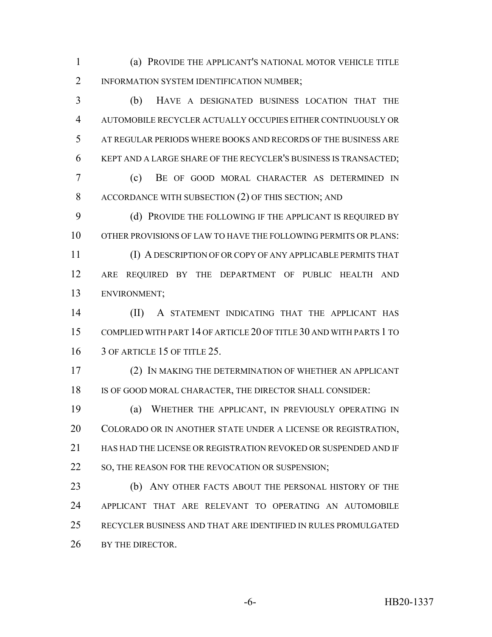(a) PROVIDE THE APPLICANT'S NATIONAL MOTOR VEHICLE TITLE 2 INFORMATION SYSTEM IDENTIFICATION NUMBER;

 (b) HAVE A DESIGNATED BUSINESS LOCATION THAT THE AUTOMOBILE RECYCLER ACTUALLY OCCUPIES EITHER CONTINUOUSLY OR AT REGULAR PERIODS WHERE BOOKS AND RECORDS OF THE BUSINESS ARE KEPT AND A LARGE SHARE OF THE RECYCLER'S BUSINESS IS TRANSACTED;

 (c) BE OF GOOD MORAL CHARACTER AS DETERMINED IN ACCORDANCE WITH SUBSECTION (2) OF THIS SECTION; AND

9 (d) PROVIDE THE FOLLOWING IF THE APPLICANT IS REQUIRED BY OTHER PROVISIONS OF LAW TO HAVE THE FOLLOWING PERMITS OR PLANS:

 (I) A DESCRIPTION OF OR COPY OF ANY APPLICABLE PERMITS THAT ARE REQUIRED BY THE DEPARTMENT OF PUBLIC HEALTH AND ENVIRONMENT;

 (II) A STATEMENT INDICATING THAT THE APPLICANT HAS COMPLIED WITH PART 14 OF ARTICLE 20 OF TITLE 30 AND WITH PARTS 1 TO 16 3 OF ARTICLE 15 OF TITLE 25.

 (2) IN MAKING THE DETERMINATION OF WHETHER AN APPLICANT IS OF GOOD MORAL CHARACTER, THE DIRECTOR SHALL CONSIDER:

 (a) WHETHER THE APPLICANT, IN PREVIOUSLY OPERATING IN COLORADO OR IN ANOTHER STATE UNDER A LICENSE OR REGISTRATION, HAS HAD THE LICENSE OR REGISTRATION REVOKED OR SUSPENDED AND IF 22 SO, THE REASON FOR THE REVOCATION OR SUSPENSION;

**(b)** ANY OTHER FACTS ABOUT THE PERSONAL HISTORY OF THE APPLICANT THAT ARE RELEVANT TO OPERATING AN AUTOMOBILE RECYCLER BUSINESS AND THAT ARE IDENTIFIED IN RULES PROMULGATED 26 BY THE DIRECTOR.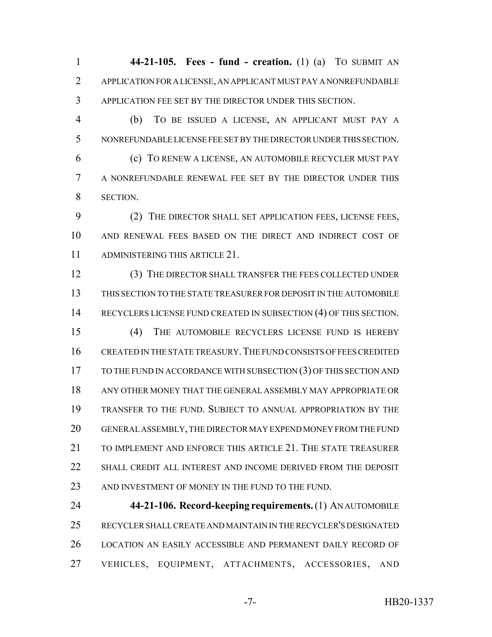**44-21-105. Fees - fund - creation.** (1) (a) TO SUBMIT AN APPLICATION FOR A LICENSE, AN APPLICANT MUST PAY A NONREFUNDABLE APPLICATION FEE SET BY THE DIRECTOR UNDER THIS SECTION.

 (b) TO BE ISSUED A LICENSE, AN APPLICANT MUST PAY A NONREFUNDABLE LICENSE FEE SET BY THE DIRECTOR UNDER THIS SECTION. (c) TO RENEW A LICENSE, AN AUTOMOBILE RECYCLER MUST PAY A NONREFUNDABLE RENEWAL FEE SET BY THE DIRECTOR UNDER THIS SECTION.

 (2) THE DIRECTOR SHALL SET APPLICATION FEES, LICENSE FEES, AND RENEWAL FEES BASED ON THE DIRECT AND INDIRECT COST OF ADMINISTERING THIS ARTICLE 21.

 (3) THE DIRECTOR SHALL TRANSFER THE FEES COLLECTED UNDER THIS SECTION TO THE STATE TREASURER FOR DEPOSIT IN THE AUTOMOBILE RECYCLERS LICENSE FUND CREATED IN SUBSECTION (4) OF THIS SECTION. (4) THE AUTOMOBILE RECYCLERS LICENSE FUND IS HEREBY CREATED IN THE STATE TREASURY.THE FUND CONSISTS OF FEES CREDITED TO THE FUND IN ACCORDANCE WITH SUBSECTION (3) OF THIS SECTION AND ANY OTHER MONEY THAT THE GENERAL ASSEMBLY MAY APPROPRIATE OR TRANSFER TO THE FUND. SUBJECT TO ANNUAL APPROPRIATION BY THE GENERAL ASSEMBLY, THE DIRECTOR MAY EXPEND MONEY FROM THE FUND TO IMPLEMENT AND ENFORCE THIS ARTICLE 21. THE STATE TREASURER SHALL CREDIT ALL INTEREST AND INCOME DERIVED FROM THE DEPOSIT 23 AND INVESTMENT OF MONEY IN THE FUND TO THE FUND.

 **44-21-106. Record-keeping requirements.** (1) AN AUTOMOBILE RECYCLER SHALL CREATE AND MAINTAIN IN THE RECYCLER'S DESIGNATED LOCATION AN EASILY ACCESSIBLE AND PERMANENT DAILY RECORD OF VEHICLES, EQUIPMENT, ATTACHMENTS, ACCESSORIES, AND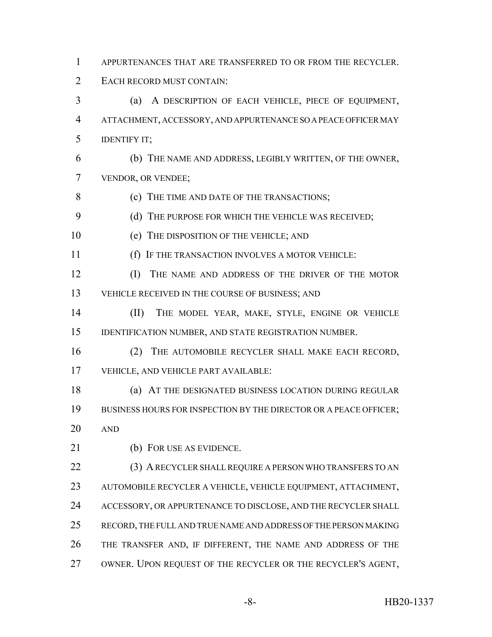- APPURTENANCES THAT ARE TRANSFERRED TO OR FROM THE RECYCLER.
- EACH RECORD MUST CONTAIN:
- (a) A DESCRIPTION OF EACH VEHICLE, PIECE OF EQUIPMENT, ATTACHMENT, ACCESSORY, AND APPURTENANCE SO A PEACE OFFICER MAY IDENTIFY IT;
- (b) THE NAME AND ADDRESS, LEGIBLY WRITTEN, OF THE OWNER, VENDOR, OR VENDEE;
- **(c)** THE TIME AND DATE OF THE TRANSACTIONS;
- 9 (d) THE PURPOSE FOR WHICH THE VEHICLE WAS RECEIVED;
- (e) THE DISPOSITION OF THE VEHICLE; AND
- (f) IF THE TRANSACTION INVOLVES A MOTOR VEHICLE:
- (I) THE NAME AND ADDRESS OF THE DRIVER OF THE MOTOR VEHICLE RECEIVED IN THE COURSE OF BUSINESS; AND
- (II) THE MODEL YEAR, MAKE, STYLE, ENGINE OR VEHICLE IDENTIFICATION NUMBER, AND STATE REGISTRATION NUMBER.
- (2) THE AUTOMOBILE RECYCLER SHALL MAKE EACH RECORD, VEHICLE, AND VEHICLE PART AVAILABLE:
- 18 (a) AT THE DESIGNATED BUSINESS LOCATION DURING REGULAR 19 BUSINESS HOURS FOR INSPECTION BY THE DIRECTOR OR A PEACE OFFICER; AND
- 
- (b) FOR USE AS EVIDENCE.

22 (3) A RECYCLER SHALL REQUIRE A PERSON WHO TRANSFERS TO AN AUTOMOBILE RECYCLER A VEHICLE, VEHICLE EQUIPMENT, ATTACHMENT, ACCESSORY, OR APPURTENANCE TO DISCLOSE, AND THE RECYCLER SHALL RECORD, THE FULL AND TRUE NAME AND ADDRESS OF THE PERSON MAKING THE TRANSFER AND, IF DIFFERENT, THE NAME AND ADDRESS OF THE OWNER. UPON REQUEST OF THE RECYCLER OR THE RECYCLER'S AGENT,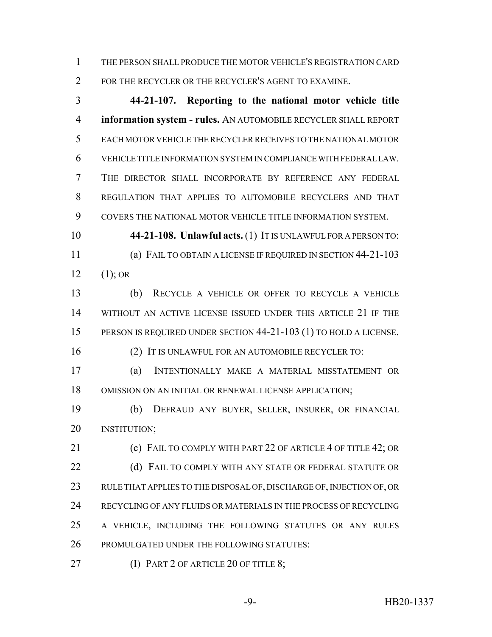THE PERSON SHALL PRODUCE THE MOTOR VEHICLE'S REGISTRATION CARD FOR THE RECYCLER OR THE RECYCLER'S AGENT TO EXAMINE.

 **44-21-107. Reporting to the national motor vehicle title information system - rules.** AN AUTOMOBILE RECYCLER SHALL REPORT EACH MOTOR VEHICLE THE RECYCLER RECEIVES TO THE NATIONAL MOTOR VEHICLE TITLE INFORMATION SYSTEM IN COMPLIANCE WITH FEDERAL LAW. THE DIRECTOR SHALL INCORPORATE BY REFERENCE ANY FEDERAL REGULATION THAT APPLIES TO AUTOMOBILE RECYCLERS AND THAT COVERS THE NATIONAL MOTOR VEHICLE TITLE INFORMATION SYSTEM.

 **44-21-108. Unlawful acts.** (1) IT IS UNLAWFUL FOR A PERSON TO: (a) FAIL TO OBTAIN A LICENSE IF REQUIRED IN SECTION 44-21-103 12  $(1)$ ; OR

 (b) RECYCLE A VEHICLE OR OFFER TO RECYCLE A VEHICLE WITHOUT AN ACTIVE LICENSE ISSUED UNDER THIS ARTICLE 21 IF THE PERSON IS REQUIRED UNDER SECTION 44-21-103 (1) TO HOLD A LICENSE.

(2) IT IS UNLAWFUL FOR AN AUTOMOBILE RECYCLER TO:

 (a) INTENTIONALLY MAKE A MATERIAL MISSTATEMENT OR OMISSION ON AN INITIAL OR RENEWAL LICENSE APPLICATION;

 (b) DEFRAUD ANY BUYER, SELLER, INSURER, OR FINANCIAL INSTITUTION;

**(c) FAIL TO COMPLY WITH PART 22 OF ARTICLE 4 OF TITLE 42; OR (d) FAIL TO COMPLY WITH ANY STATE OR FEDERAL STATUTE OR**  RULE THAT APPLIES TO THE DISPOSAL OF, DISCHARGE OF, INJECTION OF, OR RECYCLING OF ANY FLUIDS OR MATERIALS IN THE PROCESS OF RECYCLING A VEHICLE, INCLUDING THE FOLLOWING STATUTES OR ANY RULES PROMULGATED UNDER THE FOLLOWING STATUTES:

**(I) PART 2 OF ARTICLE 20 OF TITLE 8;**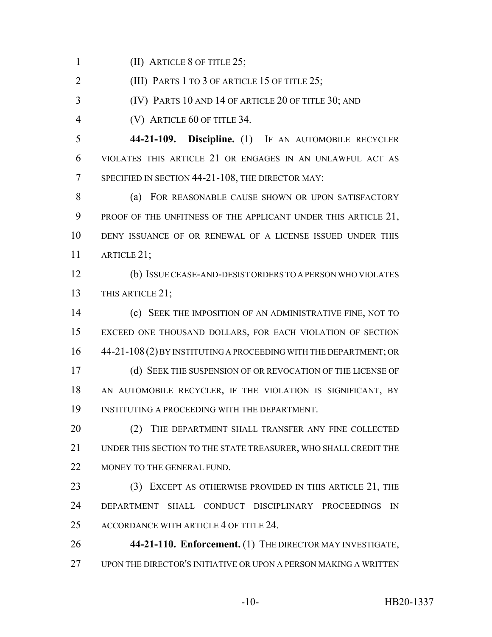1 (II) ARTICLE 8 OF TITLE 25;

(III) PARTS 1 TO 3 OF ARTICLE 15 OF TITLE 25;

(IV) PARTS 10 AND 14 OF ARTICLE 20 OF TITLE 30; AND

(V) ARTICLE 60 OF TITLE 34.

 **44-21-109. Discipline.** (1) IF AN AUTOMOBILE RECYCLER VIOLATES THIS ARTICLE 21 OR ENGAGES IN AN UNLAWFUL ACT AS SPECIFIED IN SECTION 44-21-108, THE DIRECTOR MAY:

8 (a) FOR REASONABLE CAUSE SHOWN OR UPON SATISFACTORY 9 PROOF OF THE UNFITNESS OF THE APPLICANT UNDER THIS ARTICLE 21, DENY ISSUANCE OF OR RENEWAL OF A LICENSE ISSUED UNDER THIS ARTICLE 21;

 (b) ISSUE CEASE-AND-DESIST ORDERS TO A PERSON WHO VIOLATES THIS ARTICLE 21;

 (c) SEEK THE IMPOSITION OF AN ADMINISTRATIVE FINE, NOT TO EXCEED ONE THOUSAND DOLLARS, FOR EACH VIOLATION OF SECTION 44-21-108 (2) BY INSTITUTING A PROCEEDING WITH THE DEPARTMENT; OR (d) SEEK THE SUSPENSION OF OR REVOCATION OF THE LICENSE OF AN AUTOMOBILE RECYCLER, IF THE VIOLATION IS SIGNIFICANT, BY INSTITUTING A PROCEEDING WITH THE DEPARTMENT.

20 (2) THE DEPARTMENT SHALL TRANSFER ANY FINE COLLECTED UNDER THIS SECTION TO THE STATE TREASURER, WHO SHALL CREDIT THE 22 MONEY TO THE GENERAL FUND.

 (3) EXCEPT AS OTHERWISE PROVIDED IN THIS ARTICLE 21, THE DEPARTMENT SHALL CONDUCT DISCIPLINARY PROCEEDINGS IN ACCORDANCE WITH ARTICLE 4 OF TITLE 24.

 **44-21-110. Enforcement.** (1) THE DIRECTOR MAY INVESTIGATE, UPON THE DIRECTOR'S INITIATIVE OR UPON A PERSON MAKING A WRITTEN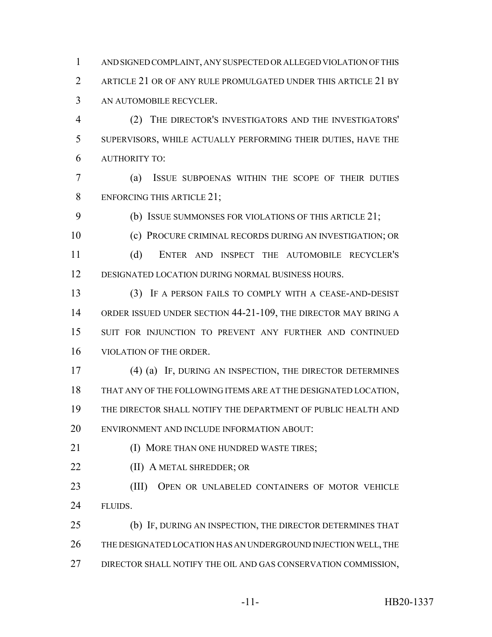AND SIGNED COMPLAINT, ANY SUSPECTED OR ALLEGED VIOLATION OF THIS ARTICLE 21 OR OF ANY RULE PROMULGATED UNDER THIS ARTICLE 21 BY AN AUTOMOBILE RECYCLER.

 (2) THE DIRECTOR'S INVESTIGATORS AND THE INVESTIGATORS' SUPERVISORS, WHILE ACTUALLY PERFORMING THEIR DUTIES, HAVE THE AUTHORITY TO:

 (a) ISSUE SUBPOENAS WITHIN THE SCOPE OF THEIR DUTIES ENFORCING THIS ARTICLE 21;

(b) ISSUE SUMMONSES FOR VIOLATIONS OF THIS ARTICLE 21;

(c) PROCURE CRIMINAL RECORDS DURING AN INVESTIGATION; OR

 (d) ENTER AND INSPECT THE AUTOMOBILE RECYCLER'S DESIGNATED LOCATION DURING NORMAL BUSINESS HOURS.

 (3) IF A PERSON FAILS TO COMPLY WITH A CEASE-AND-DESIST ORDER ISSUED UNDER SECTION 44-21-109, THE DIRECTOR MAY BRING A SUIT FOR INJUNCTION TO PREVENT ANY FURTHER AND CONTINUED VIOLATION OF THE ORDER.

 (4) (a) IF, DURING AN INSPECTION, THE DIRECTOR DETERMINES THAT ANY OF THE FOLLOWING ITEMS ARE AT THE DESIGNATED LOCATION, THE DIRECTOR SHALL NOTIFY THE DEPARTMENT OF PUBLIC HEALTH AND ENVIRONMENT AND INCLUDE INFORMATION ABOUT:

**(I) MORE THAN ONE HUNDRED WASTE TIRES;** 

**(II) A METAL SHREDDER; OR** 

 (III) OPEN OR UNLABELED CONTAINERS OF MOTOR VEHICLE 24 FLUIDS.

 (b) IF, DURING AN INSPECTION, THE DIRECTOR DETERMINES THAT THE DESIGNATED LOCATION HAS AN UNDERGROUND INJECTION WELL, THE DIRECTOR SHALL NOTIFY THE OIL AND GAS CONSERVATION COMMISSION,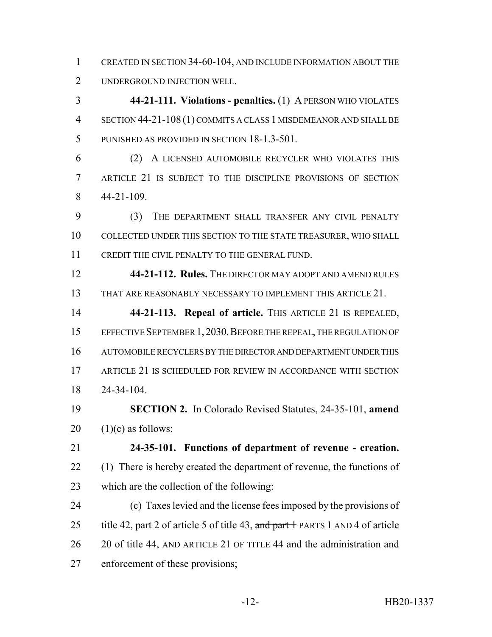CREATED IN SECTION 34-60-104, AND INCLUDE INFORMATION ABOUT THE UNDERGROUND INJECTION WELL.

 **44-21-111. Violations - penalties.** (1) A PERSON WHO VIOLATES SECTION 44-21-108 (1) COMMITS A CLASS 1 MISDEMEANOR AND SHALL BE PUNISHED AS PROVIDED IN SECTION 18-1.3-501.

 (2) A LICENSED AUTOMOBILE RECYCLER WHO VIOLATES THIS ARTICLE 21 IS SUBJECT TO THE DISCIPLINE PROVISIONS OF SECTION 44-21-109.

 (3) THE DEPARTMENT SHALL TRANSFER ANY CIVIL PENALTY COLLECTED UNDER THIS SECTION TO THE STATE TREASURER, WHO SHALL CREDIT THE CIVIL PENALTY TO THE GENERAL FUND.

 **44-21-112. Rules.** THE DIRECTOR MAY ADOPT AND AMEND RULES THAT ARE REASONABLY NECESSARY TO IMPLEMENT THIS ARTICLE 21.

 **44-21-113. Repeal of article.** THIS ARTICLE 21 IS REPEALED, EFFECTIVE SEPTEMBER 1,2030.BEFORE THE REPEAL, THE REGULATION OF AUTOMOBILE RECYCLERS BY THE DIRECTOR AND DEPARTMENT UNDER THIS ARTICLE 21 IS SCHEDULED FOR REVIEW IN ACCORDANCE WITH SECTION 24-34-104.

 **SECTION 2.** In Colorado Revised Statutes, 24-35-101, **amend** (1)(c) as follows:

 **24-35-101. Functions of department of revenue - creation.** (1) There is hereby created the department of revenue, the functions of which are the collection of the following:

 (c) Taxes levied and the license fees imposed by the provisions of 25 title 42, part 2 of article 5 of title 43, and part 1 PARTS 1 AND 4 of article 20 of title 44, AND ARTICLE 21 OF TITLE 44 and the administration and enforcement of these provisions;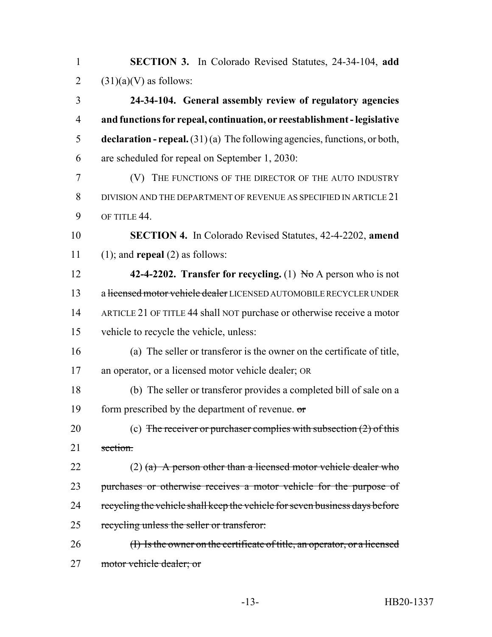**SECTION 3.** In Colorado Revised Statutes, 24-34-104, **add**  $(31)(a)(V)$  as follows: **24-34-104. General assembly review of regulatory agencies and functions for repeal, continuation, or reestablishment - legislative declaration - repeal.** (31) (a) The following agencies, functions, or both, are scheduled for repeal on September 1, 2030: (V) THE FUNCTIONS OF THE DIRECTOR OF THE AUTO INDUSTRY DIVISION AND THE DEPARTMENT OF REVENUE AS SPECIFIED IN ARTICLE 21 9 OF TITLE 44. **SECTION 4.** In Colorado Revised Statutes, 42-4-2202, **amend** (1); and **repeal** (2) as follows: **42-4-2202. Transfer for recycling.** (1) No A person who is not 13 a licensed motor vehicle dealer LICENSED AUTOMOBILE RECYCLER UNDER ARTICLE 21 OF TITLE 44 shall NOT purchase or otherwise receive a motor vehicle to recycle the vehicle, unless: (a) The seller or transferor is the owner on the certificate of title, an operator, or a licensed motor vehicle dealer; OR (b) The seller or transferor provides a completed bill of sale on a form prescribed by the department of revenue. or 20 (c) The receiver or purchaser complies with subsection (2) of this section. 22 (2) (a) A person other than a licensed motor vehicle dealer who 23 purchases or otherwise receives a motor vehicle for the purpose of 24 recycling the vehicle shall keep the vehicle for seven business days before recycling unless the seller or transferor: (I) Is the owner on the certificate of title, an operator, or a licensed motor vehicle dealer; or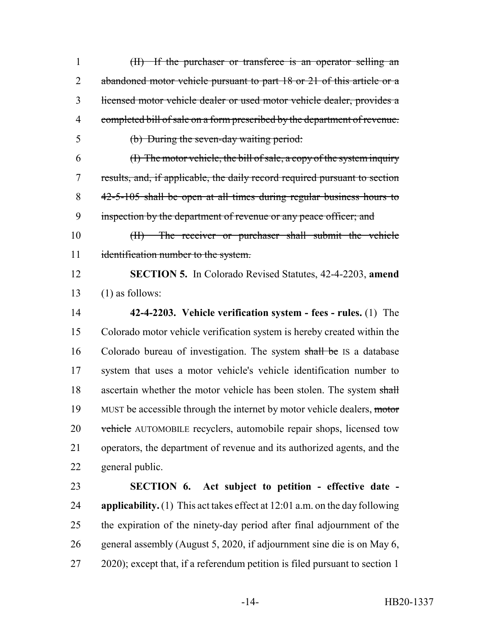(II) If the purchaser or transferee is an operator selling an 2 abandoned motor vehicle pursuant to part 18 or 21 of this article or a licensed motor vehicle dealer or used motor vehicle dealer, provides a completed bill of sale on a form prescribed by the department of revenue. (b) During the seven-day waiting period: (I) The motor vehicle, the bill of sale, a copy of the system inquiry results, and, if applicable, the daily record required pursuant to section 42-5-105 shall be open at all times during regular business hours to 9 inspection by the department of revenue or any peace officer; and (II) The receiver or purchaser shall submit the vehicle 11 identification number to the system. **SECTION 5.** In Colorado Revised Statutes, 42-4-2203, **amend** (1) as follows: **42-4-2203. Vehicle verification system - fees - rules.** (1) The Colorado motor vehicle verification system is hereby created within the Colorado bureau of investigation. The system shall be IS a database system that uses a motor vehicle's vehicle identification number to 18 ascertain whether the motor vehicle has been stolen. The system shall 19 MUST be accessible through the internet by motor vehicle dealers, motor 20 vehicle AUTOMOBILE recyclers, automobile repair shops, licensed tow operators, the department of revenue and its authorized agents, and the general public. **SECTION 6. Act subject to petition - effective date - applicability.** (1) This act takes effect at 12:01 a.m. on the day following the expiration of the ninety-day period after final adjournment of the general assembly (August 5, 2020, if adjournment sine die is on May 6, 2020); except that, if a referendum petition is filed pursuant to section 1